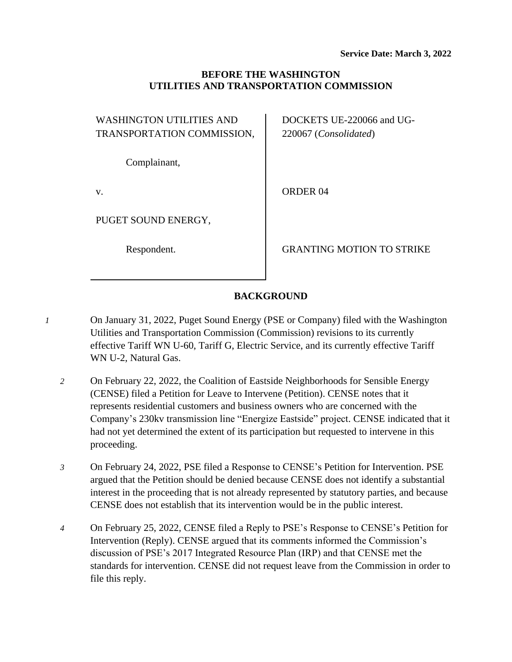### **BEFORE THE WASHINGTON UTILITIES AND TRANSPORTATION COMMISSION**

| <b>WASHINGTON UTILITIES AND</b> |  |
|---------------------------------|--|
| TRANSPORTATION COMMISSION,      |  |

Complainant,

v.

PUGET SOUND ENERGY,

Respondent.

DOCKETS UE-220066 and UG-220067 (*Consolidated*)

ORDER 04

GRANTING MOTION TO STRIKE

# **BACKGROUND**

- *1* On January 31, 2022, Puget Sound Energy (PSE or Company) filed with the Washington Utilities and Transportation Commission (Commission) revisions to its currently effective Tariff WN U-60, Tariff G, Electric Service, and its currently effective Tariff WN U-2, Natural Gas.
	- *2* On February 22, 2022, the Coalition of Eastside Neighborhoods for Sensible Energy (CENSE) filed a Petition for Leave to Intervene (Petition). CENSE notes that it represents residential customers and business owners who are concerned with the Company's 230kv transmission line "Energize Eastside" project. CENSE indicated that it had not yet determined the extent of its participation but requested to intervene in this proceeding.
	- *3* On February 24, 2022, PSE filed a Response to CENSE's Petition for Intervention. PSE argued that the Petition should be denied because CENSE does not identify a substantial interest in the proceeding that is not already represented by statutory parties, and because CENSE does not establish that its intervention would be in the public interest.
	- *4* On February 25, 2022, CENSE filed a Reply to PSE's Response to CENSE's Petition for Intervention (Reply). CENSE argued that its comments informed the Commission's discussion of PSE's 2017 Integrated Resource Plan (IRP) and that CENSE met the standards for intervention. CENSE did not request leave from the Commission in order to file this reply.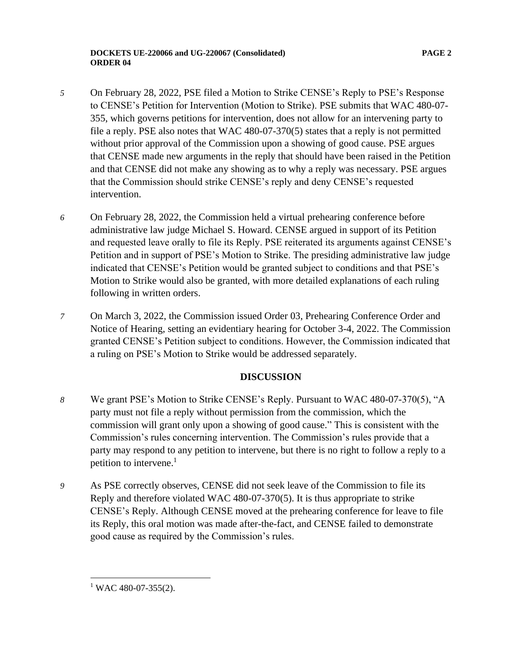- *5* On February 28, 2022, PSE filed a Motion to Strike CENSE's Reply to PSE's Response to CENSE's Petition for Intervention (Motion to Strike). PSE submits that WAC 480-07- 355, which governs petitions for intervention, does not allow for an intervening party to file a reply. PSE also notes that WAC 480-07-370(5) states that a reply is not permitted without prior approval of the Commission upon a showing of good cause. PSE argues that CENSE made new arguments in the reply that should have been raised in the Petition and that CENSE did not make any showing as to why a reply was necessary. PSE argues that the Commission should strike CENSE's reply and deny CENSE's requested intervention.
- *6* On February 28, 2022, the Commission held a virtual prehearing conference before administrative law judge Michael S. Howard. CENSE argued in support of its Petition and requested leave orally to file its Reply. PSE reiterated its arguments against CENSE's Petition and in support of PSE's Motion to Strike. The presiding administrative law judge indicated that CENSE's Petition would be granted subject to conditions and that PSE's Motion to Strike would also be granted, with more detailed explanations of each ruling following in written orders.
- *7* On March 3, 2022, the Commission issued Order 03, Prehearing Conference Order and Notice of Hearing, setting an evidentiary hearing for October 3-4, 2022. The Commission granted CENSE's Petition subject to conditions. However, the Commission indicated that a ruling on PSE's Motion to Strike would be addressed separately.

### **DISCUSSION**

- *8* We grant PSE's Motion to Strike CENSE's Reply. Pursuant to WAC 480-07-370(5), "A party must not file a reply without permission from the commission, which the commission will grant only upon a showing of good cause." This is consistent with the Commission's rules concerning intervention. The Commission's rules provide that a party may respond to any petition to intervene, but there is no right to follow a reply to a petition to intervene. 1
- *9* As PSE correctly observes, CENSE did not seek leave of the Commission to file its Reply and therefore violated WAC 480-07-370(5). It is thus appropriate to strike CENSE's Reply. Although CENSE moved at the prehearing conference for leave to file its Reply, this oral motion was made after-the-fact, and CENSE failed to demonstrate good cause as required by the Commission's rules.

 $1$  WAC 480-07-355(2).